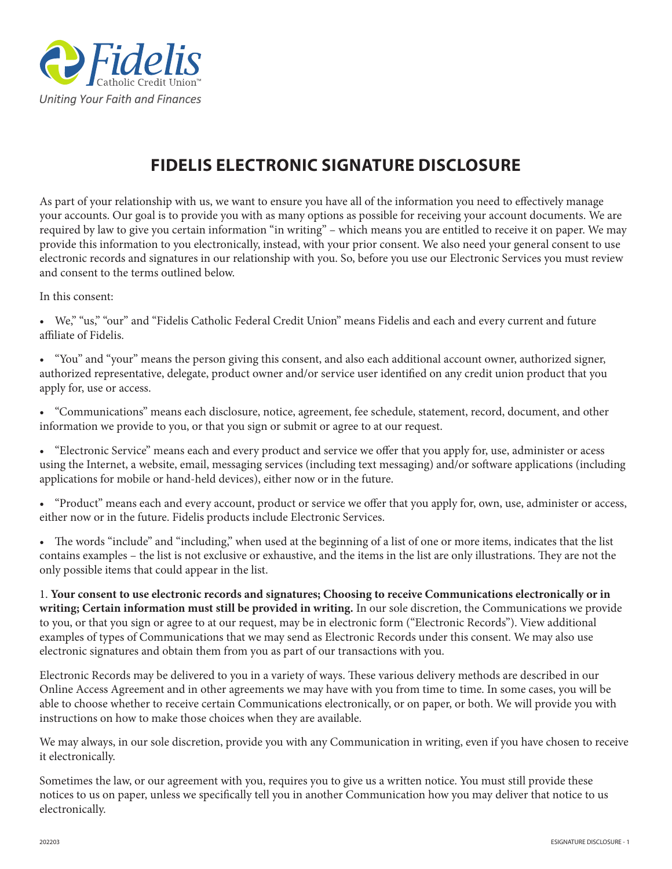

## **FIDELIS ELECTRONIC SIGNATURE DISCLOSURE**

As part of your relationship with us, we want to ensure you have all of the information you need to effectively manage your accounts. Our goal is to provide you with as many options as possible for receiving your account documents. We are required by law to give you certain information "in writing" – which means you are entitled to receive it on paper. We may provide this information to you electronically, instead, with your prior consent. We also need your general consent to use electronic records and signatures in our relationship with you. So, before you use our Electronic Services you must review and consent to the terms outlined below.

In this consent:

• We," "us," "our" and "Fidelis Catholic Federal Credit Union" means Fidelis and each and every current and future affiliate of Fidelis.

• "You" and "your" means the person giving this consent, and also each additional account owner, authorized signer, authorized representative, delegate, product owner and/or service user identified on any credit union product that you apply for, use or access.

• "Communications" means each disclosure, notice, agreement, fee schedule, statement, record, document, and other information we provide to you, or that you sign or submit or agree to at our request.

• "Electronic Service" means each and every product and service we offer that you apply for, use, administer or acess using the Internet, a website, email, messaging services (including text messaging) and/or software applications (including applications for mobile or hand-held devices), either now or in the future.

• "Product" means each and every account, product or service we offer that you apply for, own, use, administer or access, either now or in the future. Fidelis products include Electronic Services.

• The words "include" and "including," when used at the beginning of a list of one or more items, indicates that the list contains examples – the list is not exclusive or exhaustive, and the items in the list are only illustrations. They are not the only possible items that could appear in the list.

1. **Your consent to use electronic records and signatures; Choosing to receive Communications electronically or in writing; Certain information must still be provided in writing.** In our sole discretion, the Communications we provide to you, or that you sign or agree to at our request, may be in electronic form ("Electronic Records"). View additional examples of types of Communications that we may send as Electronic Records under this consent. We may also use electronic signatures and obtain them from you as part of our transactions with you.

Electronic Records may be delivered to you in a variety of ways. These various delivery methods are described in our Online Access Agreement and in other agreements we may have with you from time to time. In some cases, you will be able to choose whether to receive certain Communications electronically, or on paper, or both. We will provide you with instructions on how to make those choices when they are available.

We may always, in our sole discretion, provide you with any Communication in writing, even if you have chosen to receive it electronically.

Sometimes the law, or our agreement with you, requires you to give us a written notice. You must still provide these notices to us on paper, unless we specifically tell you in another Communication how you may deliver that notice to us electronically.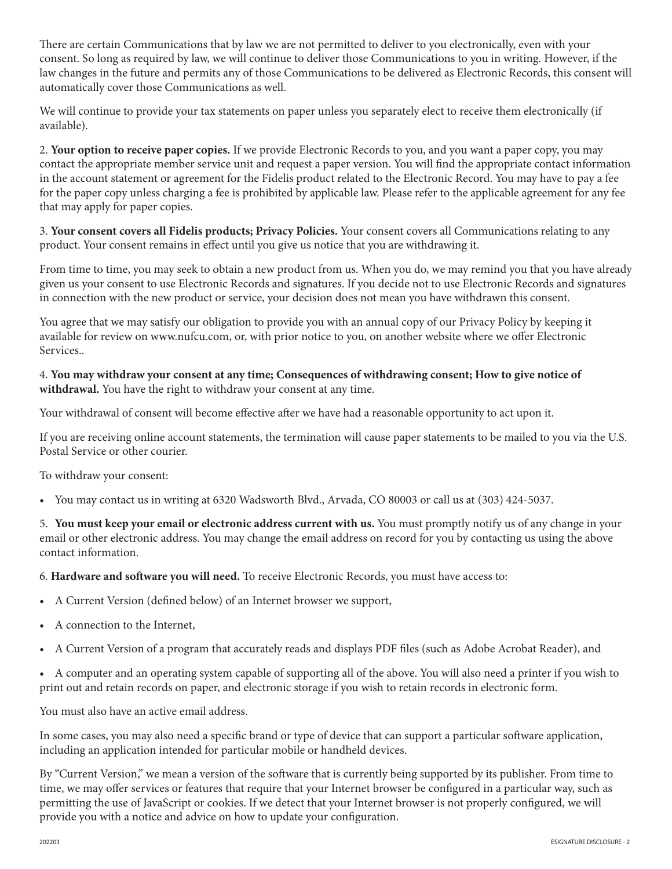There are certain Communications that by law we are not permitted to deliver to you electronically, even with your consent. So long as required by law, we will continue to deliver those Communications to you in writing. However, if the law changes in the future and permits any of those Communications to be delivered as Electronic Records, this consent will automatically cover those Communications as well.

We will continue to provide your tax statements on paper unless you separately elect to receive them electronically (if available).

2. **Your option to receive paper copies.** If we provide Electronic Records to you, and you want a paper copy, you may contact the appropriate member service unit and request a paper version. You will find the appropriate contact information in the account statement or agreement for the Fidelis product related to the Electronic Record. You may have to pay a fee for the paper copy unless charging a fee is prohibited by applicable law. Please refer to the applicable agreement for any fee that may apply for paper copies.

3. **Your consent covers all Fidelis products; Privacy Policies.** Your consent covers all Communications relating to any product. Your consent remains in effect until you give us notice that you are withdrawing it.

From time to time, you may seek to obtain a new product from us. When you do, we may remind you that you have already given us your consent to use Electronic Records and signatures. If you decide not to use Electronic Records and signatures in connection with the new product or service, your decision does not mean you have withdrawn this consent.

You agree that we may satisfy our obligation to provide you with an annual copy of our Privacy Policy by keeping it available for review on www.nufcu.com, or, with prior notice to you, on another website where we offer Electronic Services..

## 4. **You may withdraw your consent at any time; Consequences of withdrawing consent; How to give notice of withdrawal.** You have the right to withdraw your consent at any time.

Your withdrawal of consent will become effective after we have had a reasonable opportunity to act upon it.

If you are receiving online account statements, the termination will cause paper statements to be mailed to you via the U.S. Postal Service or other courier.

To withdraw your consent:

• You may contact us in writing at 6320 Wadsworth Blvd., Arvada, CO 80003 or call us at (303) 424-5037.

5. **You must keep your email or electronic address current with us.** You must promptly notify us of any change in your email or other electronic address. You may change the email address on record for you by contacting us using the above contact information.

6. **Hardware and software you will need.** To receive Electronic Records, you must have access to:

- A Current Version (defined below) of an Internet browser we support,
- A connection to the Internet,
- A Current Version of a program that accurately reads and displays PDF files (such as Adobe Acrobat Reader), and
- A computer and an operating system capable of supporting all of the above. You will also need a printer if you wish to print out and retain records on paper, and electronic storage if you wish to retain records in electronic form.

You must also have an active email address.

In some cases, you may also need a specific brand or type of device that can support a particular software application, including an application intended for particular mobile or handheld devices.

By "Current Version," we mean a version of the software that is currently being supported by its publisher. From time to time, we may offer services or features that require that your Internet browser be configured in a particular way, such as permitting the use of JavaScript or cookies. If we detect that your Internet browser is not properly configured, we will provide you with a notice and advice on how to update your configuration.